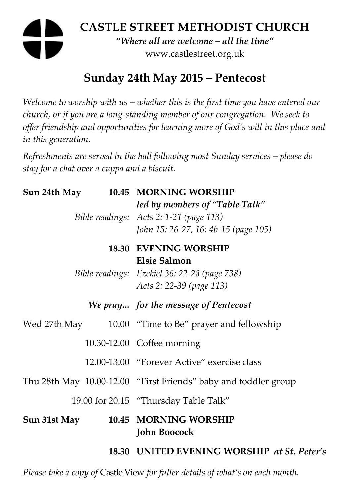# **CASTLE STREET METHODIST CHURCH**  *"Where all are welcome – all the time"*  www.castlestreet.org.uk

## **Sunday 24th May 2015 – Pentecost**

*Welcome to worship with us – whether this is the first time you have entered our church, or if you are a long-standing member of our congregation. We seek to offer friendship and opportunities for learning more of God's will in this place and in this generation.* 

*Refreshments are served in the hall following most Sunday services – please do stay for a chat over a cuppa and a biscuit.* 

**Sun 24th May 10.45 MORNING WORSHIP** 

|              |  | <b>Sun 24th May 10.45 MORNING WORSHIP</b>                                                                         |
|--------------|--|-------------------------------------------------------------------------------------------------------------------|
|              |  | led by members of "Table Talk"<br>Bible readings: Acts 2: 1-21 (page 113)<br>John 15: 26-27, 16: 4b-15 (page 105) |
|              |  | <b>18.30 EVENING WORSHIP</b>                                                                                      |
|              |  | <b>Elsie Salmon</b><br>Bible readings: Ezekiel 36: 22-28 (page 738)<br>Acts 2: 22-39 (page 113)                   |
|              |  | We pray for the message of Pentecost                                                                              |
|              |  | Wed 27th May 10.00 "Time to Be" prayer and fellowship                                                             |
|              |  | 10.30-12.00 Coffee morning                                                                                        |
|              |  | 12.00-13.00 "Forever Active" exercise class                                                                       |
|              |  | Thu 28th May 10.00-12.00 "First Friends" baby and toddler group                                                   |
|              |  | 19.00 for 20.15 "Thursday Table Talk"                                                                             |
| Sun 31st May |  | 10.45 MORNING WORSHIP<br><b>John Boocock</b>                                                                      |
|              |  | 18.30 UNITED EVENING WORSHIP at St. Peter's                                                                       |
|              |  |                                                                                                                   |

*Please take a copy of* Castle View *for fuller details of what's on each month.*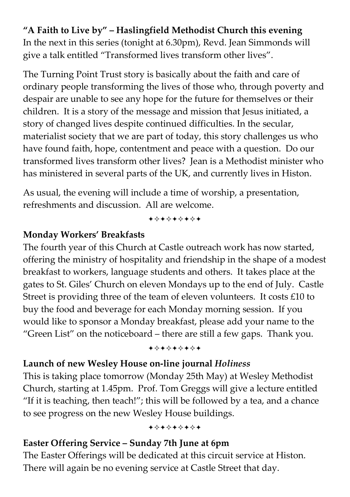**"A Faith to Live by" – Haslingfield Methodist Church this evening**  In the next in this series (tonight at 6.30pm), Revd. Jean Simmonds will give a talk entitled "Transformed lives transform other lives".

The Turning Point Trust story is basically about the faith and care of ordinary people transforming the lives of those who, through poverty and despair are unable to see any hope for the future for themselves or their children. It is a story of the message and mission that Jesus initiated, a story of changed lives despite continued difficulties. In the secular, materialist society that we are part of today, this story challenges us who have found faith, hope, contentment and peace with a question. Do our transformed lives transform other lives? Jean is a Methodist minister who has ministered in several parts of the UK, and currently lives in Histon.

As usual, the evening will include a time of worship, a presentation, refreshments and discussion. All are welcome.

+\*+\*\*\*\*+

#### **Monday Workers' Breakfasts**

The fourth year of this Church at Castle outreach work has now started, offering the ministry of hospitality and friendship in the shape of a modest breakfast to workers, language students and others. It takes place at the gates to St. Giles' Church on eleven Mondays up to the end of July. Castle Street is providing three of the team of eleven volunteers. It costs £10 to buy the food and beverage for each Monday morning session. If you would like to sponsor a Monday breakfast, please add your name to the "Green List" on the noticeboard – there are still a few gaps. Thank you.

+\*\*\*\*\*\*\*

### **Launch of new Wesley House on-line journal** *Holiness*

This is taking place tomorrow (Monday 25th May) at Wesley Methodist Church, starting at 1.45pm. Prof. Tom Greggs will give a lecture entitled "If it is teaching, then teach!"; this will be followed by a tea, and a chance to see progress on the new Wesley House buildings.

+\*+\*\*\*\*\*

## **Easter Offering Service – Sunday 7th June at 6pm**

The Easter Offerings will be dedicated at this circuit service at Histon. There will again be no evening service at Castle Street that day.